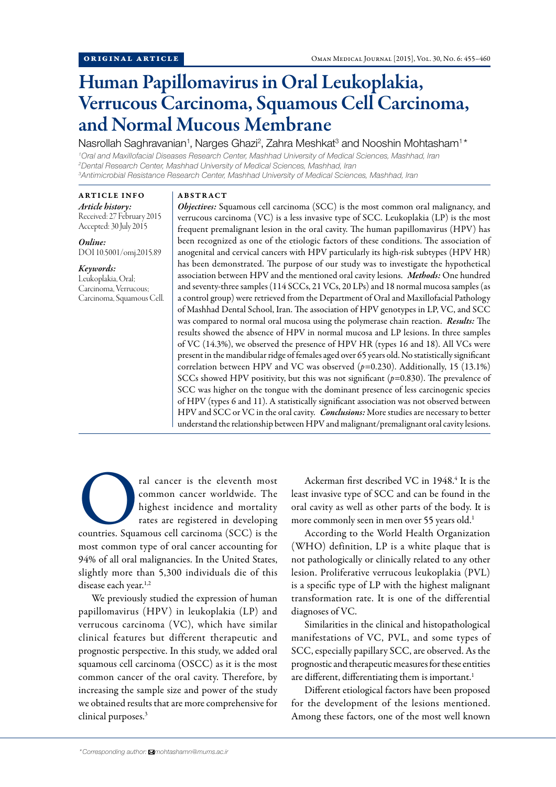# Human Papillomavirus in Oral Leukoplakia, Verrucous Carcinoma, Squamous Cell Carcinoma, and Normal Mucous Membrane

Nasrollah Saghravanian<sup>1</sup>, Narges Ghazi<sup>2</sup>, Zahra Meshkat<sup>3</sup> and Nooshin Mohtasham<sup>1\*</sup>

*1 Oral and Maxillofacial Diseases Research Center, Mashhad University of Medical Sciences, Mashhad, Iran 2 Dental Research Center, Mashhad University of Medical Sciences, Mashhad, Iran 3 Antimicrobial Resistance Research Center, Mashhad University of Medical Sciences, Mashhad, Iran*

# ARTICLE INFO

*Article history:*  Received: 27 February 2015 Accepted: 30 July 2015

*Online:* DOI 10.5001/omj.2015.89

## *Keywords:*

Leukoplakia, Oral; Carcinoma, Verrucous; Carcinoma, Squamous Cell.

# ABSTRACT

*Objectives:* Squamous cell carcinoma (SCC) is the most common oral malignancy, and verrucous carcinoma (VC) is a less invasive type of SCC. Leukoplakia (LP) is the most frequent premalignant lesion in the oral cavity. The human papillomavirus (HPV) has been recognized as one of the etiologic factors of these conditions. The association of anogenital and cervical cancers with HPV particularly its high-risk subtypes (HPV HR) has been demonstrated. The purpose of our study was to investigate the hypothetical association between HPV and the mentioned oral cavity lesions. *Methods:* One hundred and seventy-three samples (114 SCCs, 21 VCs, 20 LPs) and 18 normal mucosa samples (as a control group) were retrieved from the Department of Oral and Maxillofacial Pathology of Mashhad Dental School, Iran. The association of HPV genotypes in LP, VC, and SCC was compared to normal oral mucosa using the polymerase chain reaction. *Results:* The results showed the absence of HPV in normal mucosa and LP lesions. In three samples of VC (14.3%), we observed the presence of HPV HR (types 16 and 18). All VCs were present in the mandibular ridge of females aged over 65 years old. No statistically significant correlation between HPV and VC was observed (*p=*0.230). Additionally, 15 (13.1%) SCCs showed HPV positivity, but this was not significant (*p=*0.830). The prevalence of SCC was higher on the tongue with the dominant presence of less carcinogenic species of HPV (types 6 and 11). A statistically significant association was not observed between HPV and SCC or VC in the oral cavity. *Conclusions:* More studies are necessary to better understand the relationship between HPV and malignant/premalignant oral cavity lesions.

ral cancer is the eleventh most<br>
common cancer worldwide. The<br>
highest incidence and mortality<br>
rates are registered in developing<br>
countries. Squamous cell carcinoma (SCC) is the common cancer worldwide. The highest incidence and mortality rates are registered in developing most common type of oral cancer accounting for 94% of all oral malignancies. In the United States, slightly more than 5,300 individuals die of this disease each year.<sup>1,2</sup>

We previously studied the expression of human papillomavirus (HPV) in leukoplakia (LP) and verrucous carcinoma (VC), which have similar clinical features but different therapeutic and prognostic perspective. In this study, we added oral squamous cell carcinoma (OSCC) as it is the most common cancer of the oral cavity. Therefore, by increasing the sample size and power of the study we obtained results that are more comprehensive for clinical purposes.3

Ackerman first described VC in 1948.<sup>4</sup> It is the least invasive type of SCC and can be found in the oral cavity as well as other parts of the body. It is more commonly seen in men over 55 years old.<sup>1</sup>

According to the World Health Organization (WHO) definition, LP is a white plaque that is not pathologically or clinically related to any other lesion. Proliferative verrucous leukoplakia (PVL) is a specific type of LP with the highest malignant transformation rate. It is one of the differential diagnoses of VC.

Similarities in the clinical and histopathological manifestations of VC, PVL, and some types of SCC, especially papillary SCC, are observed. As the prognostic and therapeutic measures for these entities are different, differentiating them is important.<sup>1</sup>

Different etiological factors have been proposed for the development of the lesions mentioned. Among these factors, one of the most well known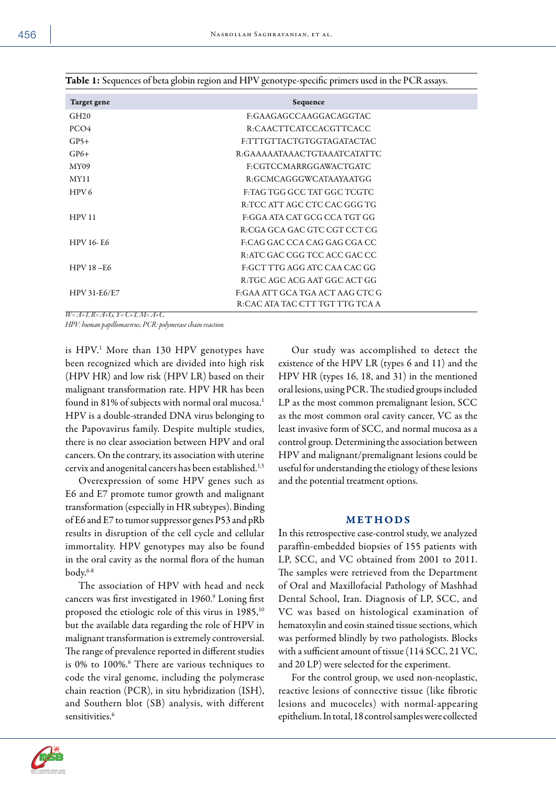| Target gene                                                                                                                                                                                                                                                                                                                                                                          | Sequence                        |  |
|--------------------------------------------------------------------------------------------------------------------------------------------------------------------------------------------------------------------------------------------------------------------------------------------------------------------------------------------------------------------------------------|---------------------------------|--|
| GH20                                                                                                                                                                                                                                                                                                                                                                                 | F:GAAGAGCCAAGGACAGGTAC          |  |
| PCO <sub>4</sub>                                                                                                                                                                                                                                                                                                                                                                     | R:CAACTTCATCCACGTTCACC          |  |
| $GP5+$                                                                                                                                                                                                                                                                                                                                                                               | F:TTTGTTACTGTGGTAGATACTAC       |  |
| $GP6+$                                                                                                                                                                                                                                                                                                                                                                               | R:GAAAAATAAACTGTAAATCATATTC     |  |
| MY09                                                                                                                                                                                                                                                                                                                                                                                 | F:CGTCCMARRGGAWACTGATC          |  |
| <b>MY11</b>                                                                                                                                                                                                                                                                                                                                                                          | R:GCMCAGGGWCATAAYAATGG          |  |
| HPV <sub>6</sub>                                                                                                                                                                                                                                                                                                                                                                     | F:TAG TGG GCC TAT GGC TCGTC     |  |
|                                                                                                                                                                                                                                                                                                                                                                                      | R:TCC ATT AGC CTC CAC GGG TG    |  |
| HPV11                                                                                                                                                                                                                                                                                                                                                                                | F:GGA ATA CAT GCG CCA TGT GG    |  |
|                                                                                                                                                                                                                                                                                                                                                                                      | R:CGA GCA GAC GTC CGT CCT CG    |  |
| <b>HPV 16-E6</b>                                                                                                                                                                                                                                                                                                                                                                     | F:CAG GAC CCA CAG GAG CGA CC    |  |
|                                                                                                                                                                                                                                                                                                                                                                                      | R: ATC GAC CGG TCC ACC GAC CC   |  |
| $HPV18 - E6$                                                                                                                                                                                                                                                                                                                                                                         | F:GCT TTG AGG ATC CAA CAC GG    |  |
|                                                                                                                                                                                                                                                                                                                                                                                      | R:TGC AGC ACG AAT GGC ACT GG    |  |
| HPV 31-E6/E7                                                                                                                                                                                                                                                                                                                                                                         | F:GAA ATT GCA TGA ACT AAG CTC G |  |
| $\overline{u}$ $\overline{u}$ $\overline{u}$ $\overline{u}$ $\overline{u}$ $\overline{u}$ $\overline{u}$ $\overline{u}$ $\overline{u}$ $\overline{u}$ $\overline{u}$ $\overline{u}$ $\overline{u}$ $\overline{u}$ $\overline{u}$ $\overline{u}$ $\overline{u}$ $\overline{u}$ $\overline{u}$ $\overline{u}$ $\overline{u}$ $\overline{u}$ $\overline{u}$ $\overline{u}$ $\overline{$ | R:CAC ATA TAC CTT TGT TTG TCA A |  |

Table 1: Sequences of beta globin region and HPV genotype-specific primers used in the PCR assays.

*W= A+T, R= A+G, Y= C+T, M= A+C.*

*HPV: human papillomavirus; PCR: polymerase chain reaction.*

is HPV.1 More than 130 HPV genotypes have been recognized which are divided into high risk (HPV HR) and low risk (HPV LR) based on their malignant transformation rate. HPV HR has been found in 81% of subjects with normal oral mucosa.<sup>1</sup> HPV is a double-stranded DNA virus belonging to the Papovavirus family. Despite multiple studies, there is no clear association between HPV and oral cancers. On the contrary, its association with uterine cervix and anogenital cancers has been established.1,5

Overexpression of some HPV genes such as E6 and E7 promote tumor growth and malignant transformation (especially in HR subtypes). Binding of E6 and E7 to tumor suppressor genes P53 and pRb results in disruption of the cell cycle and cellular immortality. HPV genotypes may also be found in the oral cavity as the normal flora of the human body.6-8

The association of HPV with head and neck cancers was first investigated in 1960.<sup>9</sup> Loning first proposed the etiologic role of this virus in 1985,<sup>10</sup> but the available data regarding the role of HPV in malignant transformation is extremely controversial. The range of prevalence reported in different studies is 0% to 100%.<sup>6</sup> There are various techniques to code the viral genome, including the polymerase chain reaction (PCR), in situ hybridization (ISH), and Southern blot (SB) analysis, with different sensitivities.<sup>6</sup>

Our study was accomplished to detect the existence of the HPV LR (types 6 and 11) and the HPV HR (types 16, 18, and 31) in the mentioned oral lesions, using PCR. The studied groups included LP as the most common premalignant lesion, SCC as the most common oral cavity cancer, VC as the least invasive form of SCC, and normal mucosa as a control group. Determining the association between HPV and malignant/premalignant lesions could be useful for understanding the etiology of these lesions and the potential treatment options.

#### METHODS

In this retrospective case-control study, we analyzed paraffin-embedded biopsies of 155 patients with LP, SCC, and VC obtained from 2001 to 2011. The samples were retrieved from the Department of Oral and Maxillofacial Pathology of Mashhad Dental School, Iran. Diagnosis of LP, SCC, and VC was based on histological examination of hematoxylin and eosin stained tissue sections, which was performed blindly by two pathologists. Blocks with a sufficient amount of tissue (114 SCC, 21 VC, and 20 LP) were selected for the experiment.

For the control group, we used non-neoplastic, reactive lesions of connective tissue (like fibrotic lesions and mucoceles) with normal-appearing epithelium. In total, 18 control samples were collected

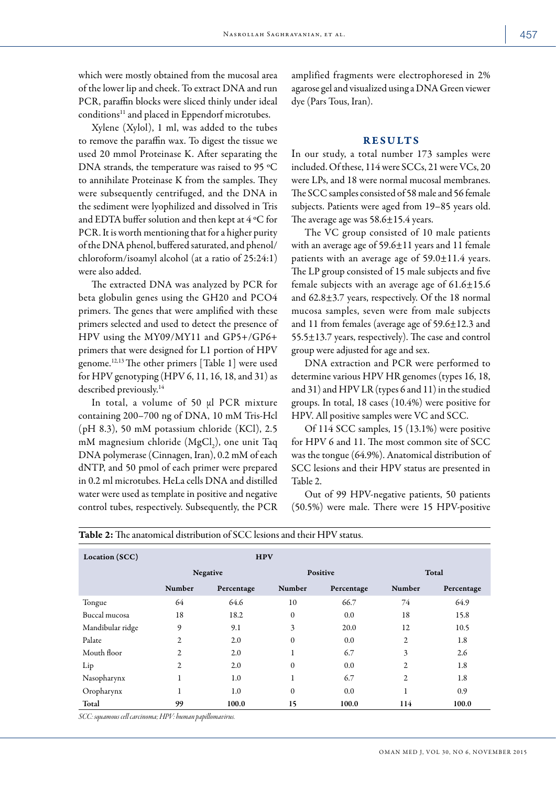which were mostly obtained from the mucosal area of the lower lip and cheek. To extract DNA and run PCR, paraffin blocks were sliced thinly under ideal conditions<sup>11</sup> and placed in Eppendorf microtubes.

Xylene (Xylol), 1 ml, was added to the tubes to remove the paraffin wax. To digest the tissue we used 20 mmol Proteinase K. After separating the DNA strands, the temperature was raised to 95 ºC to annihilate Proteinase K from the samples. They were subsequently centrifuged, and the DNA in the sediment were lyophilized and dissolved in Tris and EDTA buffer solution and then kept at 4 ºC for PCR. It is worth mentioning that for a higher purity of the DNA phenol, buffered saturated, and phenol/ chloroform/isoamyl alcohol (at a ratio of 25:24:1) were also added.

The extracted DNA was analyzed by PCR for beta globulin genes using the GH20 and PCO4 primers. The genes that were amplified with these primers selected and used to detect the presence of HPV using the MY09/MY11 and GP5+/GP6+ primers that were designed for L1 portion of HPV genome.12,13 The other primers [Table 1] were used for HPV genotyping (HPV 6, 11, 16, 18, and 31) as described previously.<sup>14</sup>

In total, a volume of 50 µl PCR mixture containing 200–700 ng of DNA, 10 mM Tris-Hcl (pH 8.3), 50 mM potassium chloride (KCl), 2.5 mM magnesium chloride  $(MgCl<sub>2</sub>)$ , one unit Taq DNA polymerase (Cinnagen, Iran), 0.2 mM of each dNTP, and 50 pmol of each primer were prepared in 0.2 ml microtubes. HeLa cells DNA and distilled water were used as template in positive and negative control tubes, respectively. Subsequently, the PCR

amplified fragments were electrophoresed in 2% agarose gel and visualized using a DNA Green viewer dye (Pars Tous, Iran).

# **RESULTS**

In our study, a total number 173 samples were included. Of these, 114 were SCCs, 21 were VCs, 20 were LPs, and 18 were normal mucosal membranes. The SCC samples consisted of 58 male and 56 female subjects. Patients were aged from 19–85 years old. The average age was 58.6±15.4 years.

The VC group consisted of 10 male patients with an average age of  $59.6 \pm 11$  years and 11 female patients with an average age of  $59.0 \pm 11.4$  years. The LP group consisted of 15 male subjects and five female subjects with an average age of  $61.6 \pm 15.6$ and  $62.8\pm3.7$  years, respectively. Of the 18 normal mucosa samples, seven were from male subjects and 11 from females (average age of 59.6±12.3 and 55.5±13.7 years, respectively). The case and control group were adjusted for age and sex.

DNA extraction and PCR were performed to determine various HPV HR genomes (types 16, 18, and 31) and HPV LR (types 6 and 11) in the studied groups. In total, 18 cases (10.4%) were positive for HPV. All positive samples were VC and SCC.

Of 114 SCC samples, 15 (13.1%) were positive for HPV 6 and 11. The most common site of SCC was the tongue (64.9%). Anatomical distribution of SCC lesions and their HPV status are presented in Table 2.

Out of 99 HPV-negative patients, 50 patients (50.5%) were male. There were 15 HPV-positive

| Location (SCC)   | <b>HPV</b>     |            |                  |            |                |            |  |  |
|------------------|----------------|------------|------------------|------------|----------------|------------|--|--|
|                  | Negative       |            | <b>Positive</b>  |            | Total          |            |  |  |
|                  | Number         | Percentage | Number           | Percentage | Number         | Percentage |  |  |
| Tongue           | 64             | 64.6       | 10               | 66.7       | 74             | 64.9       |  |  |
| Buccal mucosa    | 18             | 18.2       | 0                | 0.0        | 18             | 15.8       |  |  |
| Mandibular ridge | 9              | 9.1        | 3                | 20.0       | 12             | 10.5       |  |  |
| Palate           | 2              | 2.0        | $\boldsymbol{0}$ | 0.0        | 2              | 1.8        |  |  |
| Mouth floor      | $\overline{c}$ | 2.0        | 1                | 6.7        | 3              | 2.6        |  |  |
| Lip              | 2              | 2.0        | $\mathbf{0}$     | 0.0        | $\overline{c}$ | 1.8        |  |  |
| Nasopharynx      | $\mathbf{I}$   | 1.0        | 1                | 6.7        | $\overline{c}$ | 1.8        |  |  |
| Oropharynx       |                | 1.0        | $\mathbf{0}$     | 0.0        | 1              | 0.9        |  |  |
| Total            | 99             | 100.0      | 15               | 100.0      | 114            | 100.0      |  |  |

Table 2: The anatomical distribution of SCC lesions and their HPV status.

*SCC: squamous cell carcinoma; HPV: human papillomavirus.*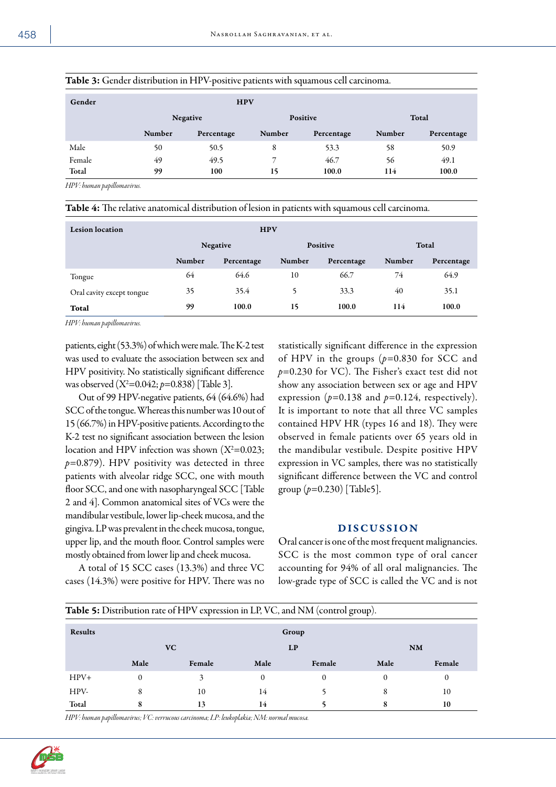| <b>HPV</b> |            |          |            |        |            |  |  |
|------------|------------|----------|------------|--------|------------|--|--|
| Negative   |            | Positive |            | Total  |            |  |  |
| Number     | Percentage | Number   | Percentage | Number | Percentage |  |  |
| 50         | 50.5       | 8        | 53.3       | 58     | 50.9       |  |  |
| 49         | 49.5       | 7        | 46.7       | 56     | 49.1       |  |  |
| 99         | 100        | 15       | 100.0      | 114    | 100.0      |  |  |
|            |            |          |            |        |            |  |  |

# Table 3: Gender distribution in HPV-positive patients with squamous cell carcinoma.

*HPV: human papillomavirus.*

| <b>Table 4:</b> The relative anatomical distribution of lesion in patients with squamous cell carcinoma. |  |  |  |  |
|----------------------------------------------------------------------------------------------------------|--|--|--|--|
|----------------------------------------------------------------------------------------------------------|--|--|--|--|

| <b>Lesion</b> location    | <b>HPV</b> |            |                 |            |               |            |  |
|---------------------------|------------|------------|-----------------|------------|---------------|------------|--|
|                           | Negative   |            | <b>Positive</b> |            | Total         |            |  |
|                           | Number     | Percentage | Number          | Percentage | <b>Number</b> | Percentage |  |
| Tongue                    | 64         | 64.6       | 10              | 66.7       | 74            | 64.9       |  |
| Oral cavity except tongue | 35         | 35.4       | 5               | 33.3       | 40            | 35.1       |  |
| Total                     | 99         | 100.0      | 15              | 100.0      | 114           | 100.0      |  |

*HPV: human papillomavirus.*

patients, eight (53.3%) of which were male. The K-2 test was used to evaluate the association between sex and HPV positivity. No statistically significant difference was observed (X2 =0.042; *p*=0.838) [Table 3].

Out of 99 HPV-negative patients, 64 (64.6%) had SCC of the tongue. Whereas this number was 10 out of 15 (66.7%) in HPV-positive patients. According to the K-2 test no significant association between the lesion location and HPV infection was shown  $(X^2=0.023;$ *p*=0.879). HPV positivity was detected in three patients with alveolar ridge SCC, one with mouth floor SCC, and one with nasopharyngeal SCC [Table 2 and 4]. Common anatomical sites of VCs were the mandibular vestibule, lower lip-cheek mucosa, and the gingiva. LP was prevalent in the cheek mucosa, tongue, upper lip, and the mouth floor. Control samples were mostly obtained from lower lip and cheek mucosa.

A total of 15 SCC cases (13.3%) and three VC cases (14.3%) were positive for HPV. There was no statistically significant difference in the expression of HPV in the groups  $(p=0.830)$  for SCC and *p*=0.230 for VC). The Fisher's exact test did not show any association between sex or age and HPV expression ( $p=0.138$  and  $p=0.124$ , respectively). It is important to note that all three VC samples contained HPV HR (types 16 and 18). They were observed in female patients over 65 years old in the mandibular vestibule. Despite positive HPV expression in VC samples, there was no statistically significant difference between the VC and control group (*p*=0.230) [Table5].

# DISCUSSION

Oral cancer is one of the most frequent malignancies. SCC is the most common type of oral cancer accounting for 94% of all oral malignancies. The low-grade type of SCC is called the VC and is not

| <b>Table 5:</b> Distribution rate of HPV expression in LP, VC, and NM (control group). |                        |        |      |          |          |        |  |  |
|----------------------------------------------------------------------------------------|------------------------|--------|------|----------|----------|--------|--|--|
| <b>Results</b>                                                                         | Group                  |        |      |          |          |        |  |  |
|                                                                                        | VC.<br>LP<br><b>NM</b> |        |      |          |          |        |  |  |
|                                                                                        | Male                   | Female | Male | Female   | Male     | Female |  |  |
| $HPV+$                                                                                 | $\Omega$               |        | 0    | $\Omega$ | $\Omega$ | 0      |  |  |
| HPV-                                                                                   | 8                      | 10     | 14   |          | 8        | 10     |  |  |
| Total                                                                                  | ō                      | 13     | 14   |          | 8        | 10     |  |  |

*HPV: human papillomavirus; VC: verrucous carcinoma; LP: leukoplakia; NM: normal mucosa.*

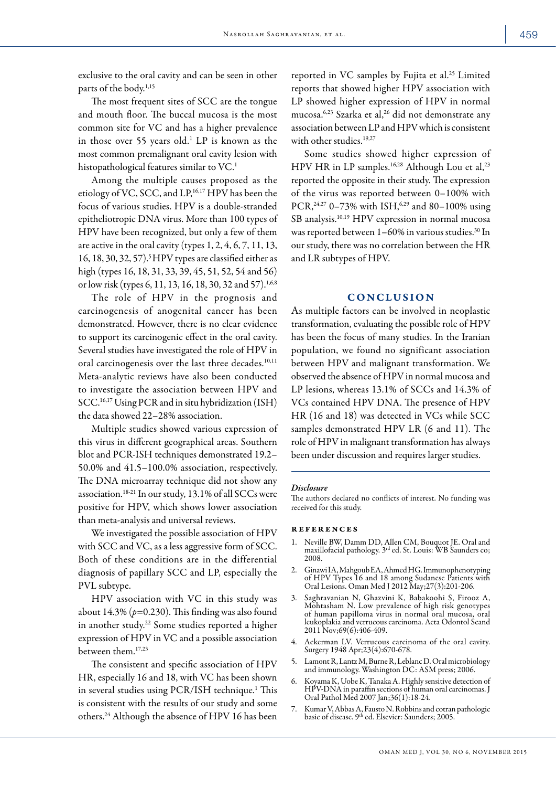exclusive to the oral cavity and can be seen in other parts of the body.<sup>1,15</sup>

The most frequent sites of SCC are the tongue and mouth floor. The buccal mucosa is the most common site for VC and has a higher prevalence in those over 55 years old.<sup>1</sup> LP is known as the most common premalignant oral cavity lesion with histopathological features similar to VC.<sup>1</sup>

Among the multiple causes proposed as the etiology of VC, SCC, and LP,<sup>16,17</sup> HPV has been the focus of various studies. HPV is a double-stranded epitheliotropic DNA virus. More than 100 types of HPV have been recognized, but only a few of them are active in the oral cavity (types  $1, 2, 4, 6, 7, 11, 13$ , 16, 18, 30, 32, 57).<sup>5</sup> HPV types are classified either as high (types 16, 18, 31, 33, 39, 45, 51, 52, 54 and 56) or low risk (types 6, 11, 13, 16, 18, 30, 32 and 57).<sup>1,6,8</sup>

The role of HPV in the prognosis and carcinogenesis of anogenital cancer has been demonstrated. However, there is no clear evidence to support its carcinogenic effect in the oral cavity. Several studies have investigated the role of HPV in oral carcinogenesis over the last three decades.<sup>10,11</sup> Meta-analytic reviews have also been conducted to investigate the association between HPV and SCC.16,17 Using PCR and in situ hybridization (ISH) the data showed 22–28% association.

Multiple studies showed various expression of this virus in different geographical areas. Southern blot and PCR-ISH techniques demonstrated 19.2– 50.0% and 41.5–100.0% association, respectively. The DNA microarray technique did not show any association.18-21 In our study, 13.1% of all SCCs were positive for HPV, which shows lower association than meta-analysis and universal reviews.

We investigated the possible association of HPV with SCC and VC, as a less aggressive form of SCC. Both of these conditions are in the differential diagnosis of papillary SCC and LP, especially the PVL subtype.

HPV association with VC in this study was about 14.3% (*p*=0.230). This finding was also found in another study.<sup>22</sup> Some studies reported a higher expression of HPV in VC and a possible association between them.17,23

The consistent and specific association of HPV HR, especially 16 and 18, with VC has been shown in several studies using PCR/ISH technique.1 This is consistent with the results of our study and some others.24 Although the absence of HPV 16 has been

reported in VC samples by Fujita et al.25 Limited reports that showed higher HPV association with LP showed higher expression of HPV in normal mucosa.<sup>6,23</sup> Szarka et al,<sup>26</sup> did not demonstrate any association between LP and HPV which is consistent with other studies.<sup>19,27</sup>

Some studies showed higher expression of HPV HR in LP samples.<sup>16,28</sup> Although Lou et al,<sup>23</sup> reported the opposite in their study. The expression of the virus was reported between 0–100% with PCR,  $24.27$  0–73% with ISH,  $6.29$  and 80–100% using SB analysis.10,19 HPV expression in normal mucosa was reported between 1-60% in various studies.<sup>30</sup> In our study, there was no correlation between the HR and LR subtypes of HPV.

# **CONCLUSION**

As multiple factors can be involved in neoplastic transformation, evaluating the possible role of HPV has been the focus of many studies. In the Iranian population, we found no significant association between HPV and malignant transformation. We observed the absence of HPV in normal mucosa and LP lesions, whereas 13.1% of SCCs and 14.3% of VCs contained HPV DNA. The presence of HPV HR (16 and 18) was detected in VCs while SCC samples demonstrated HPV LR (6 and 11). The role of HPV in malignant transformation has always been under discussion and requires larger studies.

#### *Disclosure*

The authors declared no conflicts of interest. No funding was received for this study.

#### **REFERENCES**

- 1. Neville BW, Damm DD, Allen CM, Bouquot JE. Oral and maxillofacial pathology. 3rd ed. St. Louis: WB Saunders co; 2008.
- 2. Ginawi IA, Mahgoub EA, Ahmed HG. Immunophenotyping of HPV Types 16 and 18 among Sudanese Patients with Oral Lesions. Oman Med J 2012 May;27(3):201-206.
- 3. Saghravanian N, Ghazvini K, Babakoohi S, Firooz A, Mohtasham N. Low prevalence of high risk genotypes of human papilloma virus in normal oral mucosa, oral leukoplakia and verrucous carcinoma. Acta Odontol Scand 2011 Nov;69(6):406-409.
- 4. Ackerman LV. Verrucous carcinoma of the oral cavity. Surgery 1948 Apr;23(4):670-678.
- 5. Lamont R, Lantz M, Burne R, Leblanc D. Oral microbiology and immunology. Washington DC: ASM press; 2006.
- 6. Koyama K, Uobe K, Tanaka A. Highly sensitive detection of HPV-DNA in paraffin sections of human oral carcinomas. J Oral Pathol Med 2007 Jan;36(1):18-24.
- 7. Kumar V, Abbas A, Fausto N. Robbins and cotran pathologic basic of disease. 9<sup>th</sup> ed. Elsevier: Saunders; 2005.